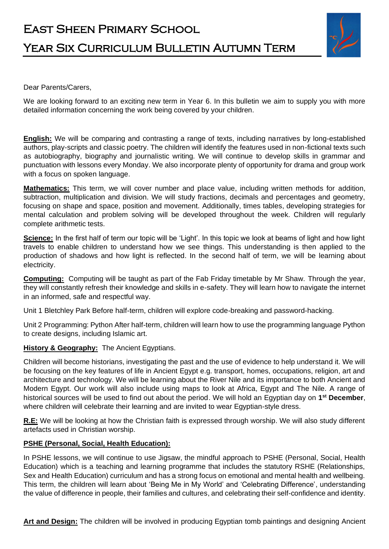# East Sheen Primary School

# YEAR SIX CURRICULUM BULLETIN AUTUMN TERM



Dear Parents/Carers,

We are looking forward to an exciting new term in Year 6. In this bulletin we aim to supply you with more detailed information concerning the work being covered by your children.

**English:** We will be comparing and contrasting a range of texts, including narratives by long-established authors, play-scripts and classic poetry. The children will identify the features used in non-fictional texts such as autobiography, biography and journalistic writing. We will continue to develop skills in grammar and punctuation with lessons every Monday. We also incorporate plenty of opportunity for drama and group work with a focus on spoken language.

**Mathematics:** This term, we will cover number and place value, including written methods for addition, subtraction, multiplication and division. We will study fractions, decimals and percentages and geometry, focusing on shape and space, position and movement. Additionally, times tables, developing strategies for mental calculation and problem solving will be developed throughout the week. Children will regularly complete arithmetic tests.

**Science:** In the first half of term our topic will be 'Light'. In this topic we look at beams of light and how light travels to enable children to understand how we see things. This understanding is then applied to the production of shadows and how light is reflected. In the second half of term, we will be learning about electricity.

**Computing:** Computing will be taught as part of the Fab Friday timetable by Mr Shaw. Through the year, they will constantly refresh their knowledge and skills in e-safety. They will learn how to navigate the internet in an informed, safe and respectful way.

Unit 1 Bletchley Park Before half-term, children will explore code-breaking and password-hacking.

Unit 2 Programming: Python After half-term, children will learn how to use the programming language Python to create designs, including Islamic art.

**History & Geography:** The Ancient Egyptians.

Children will become historians, investigating the past and the use of evidence to help understand it. We will be focusing on the key features of life in Ancient Egypt e.g. transport, homes, occupations, religion, art and architecture and technology. We will be learning about the River Nile and its importance to both Ancient and Modern Egypt. Our work will also include using maps to look at Africa, Egypt and The Nile. A range of historical sources will be used to find out about the period. We will hold an Egyptian day on **1 st December**, where children will celebrate their learning and are invited to wear Egyptian-style dress.

**R.E:** We will be looking at how the Christian faith is expressed through worship. We will also study different artefacts used in Christian worship.

## **PSHE (Personal, Social, Health Education):**

In PSHE lessons, we will continue to use Jigsaw, the mindful approach to PSHE (Personal, Social, Health Education) which is a teaching and learning programme that includes the statutory RSHE (Relationships, Sex and Health Education) curriculum and has a strong focus on emotional and mental health and wellbeing. This term, the children will learn about 'Being Me in My World' and 'Celebrating Difference', understanding the value of difference in people, their families and cultures, and celebrating their self-confidence and identity.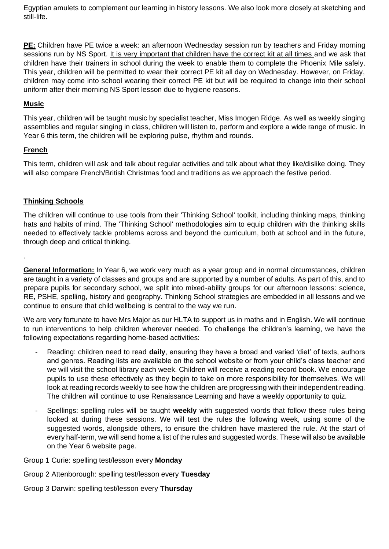Egyptian amulets to complement our learning in history lessons. We also look more closely at sketching and still-life.

**PE:** Children have PE twice a week: an afternoon Wednesday session run by teachers and Friday morning sessions run by NS Sport. It is very important that children have the correct kit at all times and we ask that children have their trainers in school during the week to enable them to complete the Phoenix Mile safely. This year, children will be permitted to wear their correct PE kit all day on Wednesday. However, on Friday, children may come into school wearing their correct PE kit but will be required to change into their school uniform after their morning NS Sport lesson due to hygiene reasons.

#### **Music**

This year, children will be taught music by specialist teacher, Miss Imogen Ridge. As well as weekly singing assemblies and regular singing in class, children will listen to, perform and explore a wide range of music. In Year 6 this term, the children will be exploring pulse, rhythm and rounds.

#### **French**

.

This term, children will ask and talk about regular activities and talk about what they like/dislike doing. They will also compare French/British Christmas food and traditions as we approach the festive period.

#### **Thinking Schools**

The children will continue to use tools from their 'Thinking School' toolkit, including thinking maps, thinking hats and habits of mind. The 'Thinking School' methodologies aim to equip children with the thinking skills needed to effectively tackle problems across and beyond the curriculum, both at school and in the future, through deep and critical thinking.

**General Information:** In Year 6, we work very much as a year group and in normal circumstances, children are taught in a variety of classes and groups and are supported by a number of adults. As part of this, and to prepare pupils for secondary school, we split into mixed-ability groups for our afternoon lessons: science, RE, PSHE, spelling, history and geography. Thinking School strategies are embedded in all lessons and we continue to ensure that child wellbeing is central to the way we run.

We are very fortunate to have Mrs Major as our HLTA to support us in maths and in English. We will continue to run interventions to help children wherever needed. To challenge the children's learning, we have the following expectations regarding home-based activities:

- Reading: children need to read daily, ensuring they have a broad and varied 'diet' of texts, authors and genres. Reading lists are available on the school website or from your child's class teacher and we will visit the school library each week. Children will receive a reading record book. We encourage pupils to use these effectively as they begin to take on more responsibility for themselves. We will look at reading records weekly to see how the children are progressing with their independent reading. The children will continue to use Renaissance Learning and have a weekly opportunity to quiz.
- Spellings: spelling rules will be taught **weekly** with suggested words that follow these rules being looked at during these sessions. We will test the rules the following week, using some of the suggested words, alongside others, to ensure the children have mastered the rule. At the start of every half-term, we will send home a list of the rules and suggested words. These will also be available on the Year 6 website page.
- Group 1 Curie: spelling test/lesson every **Monday**

Group 2 Attenborough: spelling test/lesson every **Tuesday**

Group 3 Darwin: spelling test/lesson every **Thursday**